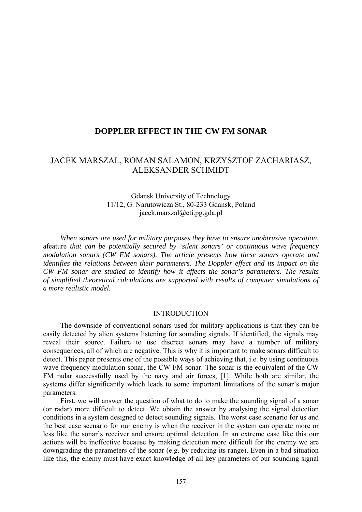# **DOPPLER EFFECT IN THE CW FM SONAR**

# JACEK MARSZAL, ROMAN SALAMON, KRZYSZTOF ZACHARIASZ, ALEKSANDER SCHMIDT

## Gdansk University of Technology 11/12, G. Narutowicza St., 80-233 Gdansk, Poland jacek.marszal@eti.pg.gda.pl

*When sonars are used for military purposes they have to ensure unobtrusive operation,*  afeature *that can be potentially secured by 'silent sonars' or continuous wave frequency modulation sonars (CW FM sonars). The article presents how these sonars operate and identifies the relations between their parameters. The Doppler effect and its impact on the CW FM sonar are studied to identify how it affects the sonar's parameters. The results of simplified theoretical calculations are supported with results of computer simulations of a more realistic model.* 

### INTRODUCTION

The downside of conventional sonars used for military applications is that they can be easily detected by alien systems listening for sounding signals. If identified, the signals may reveal their source. Failure to use discreet sonars may have a number of military consequences, all of which are negative. This is why it is important to make sonars difficult to detect. This paper presents one of the possible ways of achieving that, i.e. by using continuous wave frequency modulation sonar, the CW FM sonar. The sonar is the equivalent of the CW FM radar successfully used by the navy and air forces, [1]. While both are similar, the systems differ significantly which leads to some important limitations of the sonar's major parameters.

First, we will answer the question of what to do to make the sounding signal of a sonar (or radar) more difficult to detect. We obtain the answer by analysing the signal detection conditions in a system designed to detect sounding signals. The worst case scenario for us and the best case scenario for our enemy is when the receiver in the system can operate more or less like the sonar's receiver and ensure optimal detection. In an extreme case like this our actions will be ineffective because by making detection more difficult for the enemy we are downgrading the parameters of the sonar (e.g. by reducing its range). Even in a bad situation like this, the enemy must have exact knowledge of all key parameters of our sounding signal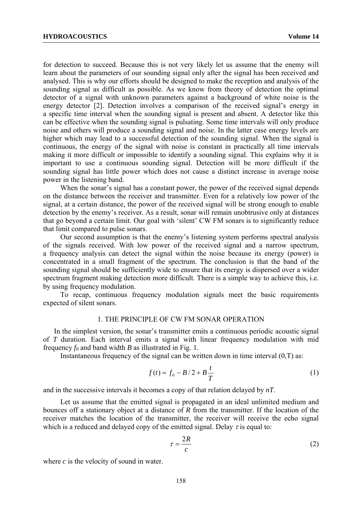for detection to succeed. Because this is not very likely let us assume that the enemy will learn about the parameters of our sounding signal only after the signal has been received and analysed. This is why our efforts should be designed to make the reception and analysis of the sounding signal as difficult as possible. As we know from theory of detection the optimal detector of a signal with unknown parameters against a background of white noise is the energy detector [2]. Detection involves a comparison of the received signal's energy in a specific time interval when the sounding signal is present and absent. A detector like this can be effective when the sounding signal is pulsating. Some time intervals will only produce noise and others will produce a sounding signal and noise. In the latter case energy levels are higher which may lead to a successful detection of the sounding signal. When the signal is continuous, the energy of the signal with noise is constant in practically all time intervals making it more difficult or impossible to identify a sounding signal. This explains why it is important to use a continuous sounding signal. Detection will be more difficult if the sounding signal has little power which does not cause a distinct increase in average noise power in the listening band.

When the sonar's signal has a constant power, the power of the received signal depends on the distance between the receiver and transmitter. Even for a relatively low power of the signal, at a certain distance, the power of the received signal will be strong enough to enable detection by the enemy's receiver. As a result, sonar will remain unobtrusive only at distances that go beyond a certain limit. Our goal with 'silent' CW FM sonars is to significantly reduce that limit compared to pulse sonars.

Our second assumption is that the enemy's listening system performs spectral analysis of the signals received. With low power of the received signal and a narrow spectrum, a frequency analysis can detect the signal within the noise because its energy (power) is concentrated in a small fragment of the spectrum. The conclusion is that the band of the sounding signal should be sufficiently wide to ensure that its energy is dispersed over a wider spectrum fragment making detection more difficult. There is a simple way to achieve this, i.e. by using frequency modulation.

To recap, continuous frequency modulation signals meet the basic requirements expected of silent sonars.

### 1. THE PRINCIPLE OF CW FM SONAR OPERATION

In the simplest version, the sonar's transmitter emits a continuous periodic acoustic signal of *T* duration. Each interval emits a signal with linear frequency modulation with mid frequency  $f_0$  and band width *B* as illustrated in Fig. 1.

Instantaneous frequency of the signal can be written down in time interval  $(0,T)$  as:

$$
f(t) = f_0 - B/2 + B\frac{t}{T}
$$
 (1)

and in the successive intervals it becomes a copy of that relation delayed by *nT*.

Let us assume that the emitted signal is propagated in an ideal unlimited medium and bounces off a stationary object at a distance of *R* from the transmitter. If the location of the receiver matches the location of the transmitter, the receiver will receive the echo signal which is a reduced and delayed copy of the emitted signal. Delay  $\tau$  is equal to:

$$
\tau = \frac{2R}{c} \tag{2}
$$

where *c* is the velocity of sound in water.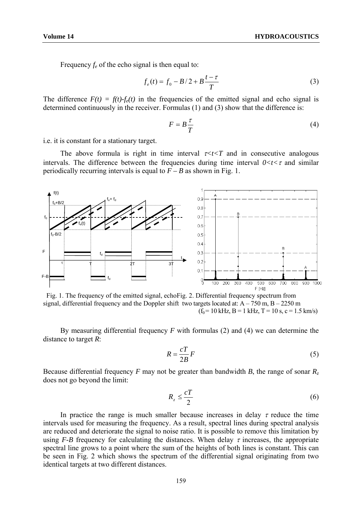Frequency  $f_e$  of the echo signal is then equal to:

$$
f_e(t) = f_0 - B/2 + B\frac{t - \tau}{T}
$$
 (3)

The difference  $F(t) = f(t) \cdot f_e(t)$  in the frequencies of the emitted signal and echo signal is determined continuously in the receiver. Formulas (1) and (3) show that the difference is:

$$
F = B \frac{\tau}{T} \tag{4}
$$

i.e. it is constant for a stationary target.

The above formula is right in time interval  $\tau \lt t \lt T$  and in consecutive analogous intervals. The difference between the frequencies during time interval  $0 < t < \tau$  and similar periodically recurring intervals is equal to  $F - B$  as shown in Fig. 1.



 Fig. 1. The frequency of the emitted signal, echo Fig. 2. Differential frequency spectrum from signal, differential frequency and the Doppler shift two targets located at:  $A - 750$  m,  $B - 2250$  m  $(f_0 = 10 \text{ kHz}, B = 1 \text{ kHz}, T = 10 \text{ s}, c = 1.5 \text{ km/s})$ 

By measuring differential frequency *F* with formulas (2) and (4) we can determine the distance to target *R*:

$$
R = \frac{cT}{2B}F\tag{5}
$$

Because differential frequency *F* may not be greater than bandwidth *B*, the range of sonar  $R_z$ does not go beyond the limit:

$$
R_z \leq \frac{cT}{2} \tag{6}
$$

In practice the range is much smaller because increases in delay  $\tau$  reduce the time intervals used for measuring the frequency. As a result, spectral lines during spectral analysis are reduced and deteriorate the signal to noise ratio. It is possible to remove this limitation by using *F-B* frequency for calculating the distances. When delay  $\tau$  increases, the appropriate spectral line grows to a point where the sum of the heights of both lines is constant. This can be seen in Fig. 2 which shows the spectrum of the differential signal originating from two identical targets at two different distances.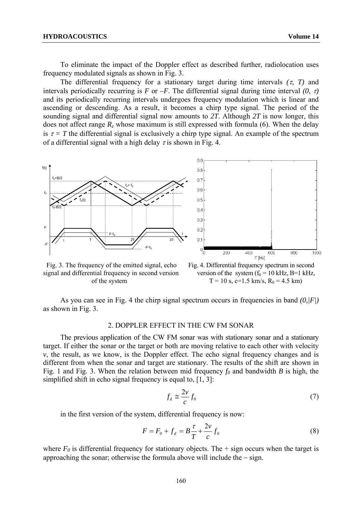To eliminate the impact of the Doppler effect as described further, radiolocation uses frequency modulated signals as shown in Fig. 3.

The differential frequency for a stationary target during time intervals  $(\tau, T)$  and intervals periodically recurring is *F* or *–F*. The differential signal during time interval  $(0, \tau)$ and its periodically recurring intervals undergoes frequency modulation which is linear and ascending or descending. As a result, it becomes a chirp type signal. The period of the sounding signal and differential signal now amounts to *2T*. Although *2T* is now longer, this does not affect range  $R_z$  whose maximum is still expressed with formula (6). When the delay is  $\tau = T$  the differential signal is exclusively a chirp type signal. An example of the spectrum of a differential signal with a high delay  $\tau$  is shown in Fig. 4.



signal and differential frequency in second version version of the system  $(f_0 = 10 \text{ kHz}, B=1 \text{ kHz})$ 



As you can see in Fig. 4 the chirp signal spectrum occurs in frequencies in band *(0,|F|)* as shown in Fig. 3.

### 2. DOPPLER EFFECT IN THE CW FM SONAR

The previous application of the CW FM sonar was with stationary sonar and a stationary target. If either the sonar or the target or both are moving relative to each other with velocity  $\nu$ , the result, as we know, is the Doppler effect. The echo signal frequency changes and is different from when the sonar and target are stationary. The results of the shift are shown in Fig. 1 and Fig. 3. When the relation between mid frequency  $f_0$  and bandwidth *B* is high, the simplified shift in echo signal frequency is equal to, [1, 3]:

$$
f_d \cong \frac{2v}{c} f_0 \tag{7}
$$

in the first version of the system, differential frequency is now:

$$
F = F_0 + f_d = B\frac{\tau}{T} + \frac{2v}{c}f_0
$$
\n(8)

where  $F_0$  is differential frequency for stationary objects. The  $+$  sign occurs when the target is approaching the sonar; otherwise the formula above will include the − sign.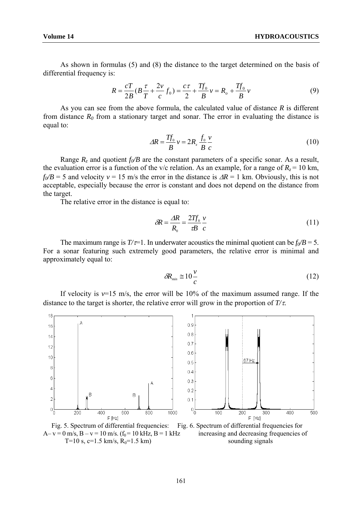As shown in formulas (5) and (8) the distance to the target determined on the basis of differential frequency is:

$$
R = \frac{cT}{2B}(B\frac{\tau}{T} + \frac{2v}{c}f_0) = \frac{c\tau}{2} + \frac{Tf_0}{B}v = R_o + \frac{Tf_0}{B}v
$$
(9)

As you can see from the above formula, the calculated value of distance *R* is different from distance  $R_0$  from a stationary target and sonar. The error in evaluating the distance is equal to:

$$
\Delta R = \frac{Tf_0}{B} v = 2R_z \frac{f_0 v}{B c}
$$
 (10)

Range  $R_z$  and quotient  $f_0/B$  are the constant parameters of a specific sonar. As a result, the evaluation error is a function of the v/c relation. As an example, for a range of  $R_z = 10$  km,  $f_0/B = 5$  and velocity  $v = 15$  m/s the error in the distance is  $\Delta R = 1$  km. Obviously, this is not acceptable, especially because the error is constant and does not depend on the distance from the target.

The relative error in the distance is equal to:

$$
\delta R = \frac{\Delta R}{R_0} = \frac{2Tf_0}{\tau B} \frac{v}{c}
$$
\n(11)

The maximum range is  $T/\tau=1$ . In underwater acoustics the minimal quotient can be  $f_0/B = 5$ . For a sonar featuring such extremely good parameters, the relative error is minimal and approximately equal to:

$$
\delta R_{\min} \cong 10 \frac{v}{c} \tag{12}
$$

If velocity is  $v=15$  m/s, the error will be 10% of the maximum assumed range. If the distance to the target is shorter, the relative error will grow in the proportion of *T/*τ*.*





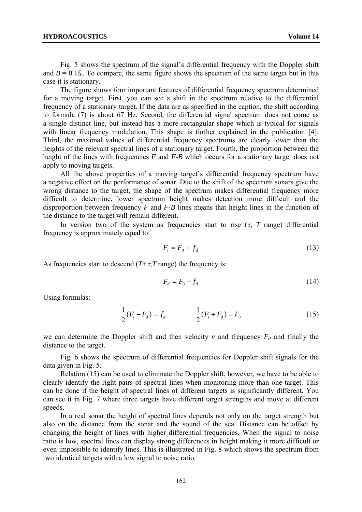Fig. 5 shows the spectrum of the signal's differential frequency with the Doppler shift and  $B = 0.1$  f<sub>0</sub>. To compare, the same figure shows the spectrum of the same target but in this case it is stationary.

The figure shows four important features of differential frequency spectrum determined for a moving target. First, you can see a shift in the spectrum relative to the differential frequency of a stationary target. If the data are as specified in the caption, the shift according to formula (7) is about 67 Hz. Second, the differential signal spectrum does not come as a single distinct line, but instead has a more rectangular shape which is typical for signals with linear frequency modulation. This shape is further explained in the publication [4]. Third, the maximal values of differential frequency spectrums are clearly lower than the heights of the relevant spectral lines of a stationary target. Fourth, the proportion between the height of the lines with frequencies *F* and *F-B* which occurs for a stationary target does not apply to moving targets.

All the above properties of a moving target's differential frequency spectrum have a negative effect on the performance of sonar. Due to the shift of the spectrum sonars give the wrong distance to the target, the shape of the spectrum makes differential frequency more difficult to determine, lower spectrum height makes detection more difficult and the disproportion between frequency *F* and *F-B* lines means that height lines in the function of the distance to the target will remain different.

In version two of the system as frequencies start to rise  $(\tau, T \text{ range})$  differential frequency is approximately equal to:

$$
F_i = F_0 + f_d \tag{13}
$$

As frequencies start to descend  $(T+\tau, T)$  range) the frequency is:

$$
F_d = F_0 - f_d \tag{14}
$$

Using formulas:

$$
\frac{1}{2}(F_i - F_d) = f_d \qquad \qquad \frac{1}{2}(F_i + F_d) = F_0 \tag{15}
$$

we can determine the Doppler shift and then velocity  $v$  and frequency  $F_0$  and finally the distance to the target.

Fig. 6 shows the spectrum of differential frequencies for Doppler shift signals for the data given in Fig. 5.

Relation (15) can be used to eliminate the Doppler shift, however, we have to be able to clearly identify the right pairs of spectral lines when monitoring more than one target. This can be done if the height of spectral lines of different targets is significantly different. You can see it in Fig. 7 where three targets have different target strengths and move at different speeds.

In a real sonar the height of spectral lines depends not only on the target strength but also on the distance from the sonar and the sound of the sea. Distance can be offset by changing the height of lines with higher differential frequencies. When the signal to noise ratio is low, spectral lines can display strong differences in height making it more difficult or even impossible to identify lines. This is illustrated in Fig. 8 which shows the spectrum from two identical targets with a low signal to noise ratio.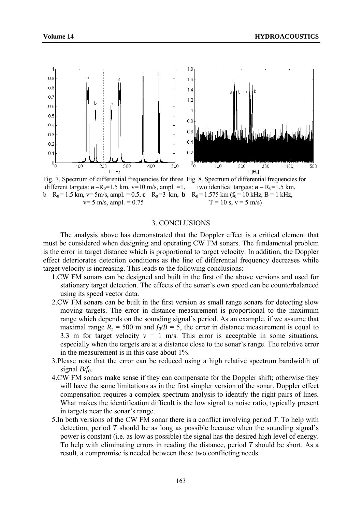

Fig. 7. Spectrum of differential frequencies for three Fig. 8. Spectrum of differential frequencies for different targets:  $\mathbf{a} - R_0 = 1.5$  km,  $v=10$  m/s, ampl.  $= 1$ , two identical targets:  $\mathbf{a} - R_0 = 1.5$  km,  $b - R_0 = 1.5$  km,  $v = 5$ m/s, ampl. = 0.5, **c** – R<sub>0</sub>=3 km, **b** – R<sub>0</sub>= 1.575 km (f<sub>0</sub>= 10 kHz, B = 1 kHz,  $v = 5$  m/s, ampl. = 0.75 T = 10 s,  $v = 5$  m/s)  $v= 5$  m/s, ampl. = 0.75

#### 3. CONCLUSIONS

The analysis above has demonstrated that the Doppler effect is a critical element that must be considered when designing and operating CW FM sonars. The fundamental problem is the error in target distance which is proportional to target velocity. In addition, the Doppler effect deteriorates detection conditions as the line of differential frequency decreases while target velocity is increasing. This leads to the following conclusions:

- 1.CW FM sonars can be designed and built in the first of the above versions and used for stationary target detection. The effects of the sonar's own speed can be counterbalanced using its speed vector data.
- 2.CW FM sonars can be built in the first version as small range sonars for detecting slow moving targets. The error in distance measurement is proportional to the maximum range which depends on the sounding signal's period. As an example, if we assume that maximal range  $R_z = 500$  m and  $f_0/B = 5$ , the error in distance measurement is equal to 3.3 m for target velocity  $v = 1$  m/s. This error is acceptable in some situations, especially when the targets are at a distance close to the sonar's range. The relative error in the measurement is in this case about 1%.
- 3.Please note that the error can be reduced using a high relative spectrum bandwidth of signal *B/f0*.
- 4.CW FM sonars make sense if they can compensate for the Doppler shift; otherwise they will have the same limitations as in the first simpler version of the sonar. Doppler effect compensation requires a complex spectrum analysis to identify the right pairs of lines. What makes the identification difficult is the low signal to noise ratio, typically present in targets near the sonar's range.
- 5.In both versions of the CW FM sonar there is a conflict involving period *T*. To help with detection, period *T* should be as long as possible because when the sounding signal's power is constant (i.e. as low as possible) the signal has the desired high level of energy. To help with eliminating errors in reading the distance, period *T* should be short. As a result, a compromise is needed between these two conflicting needs.